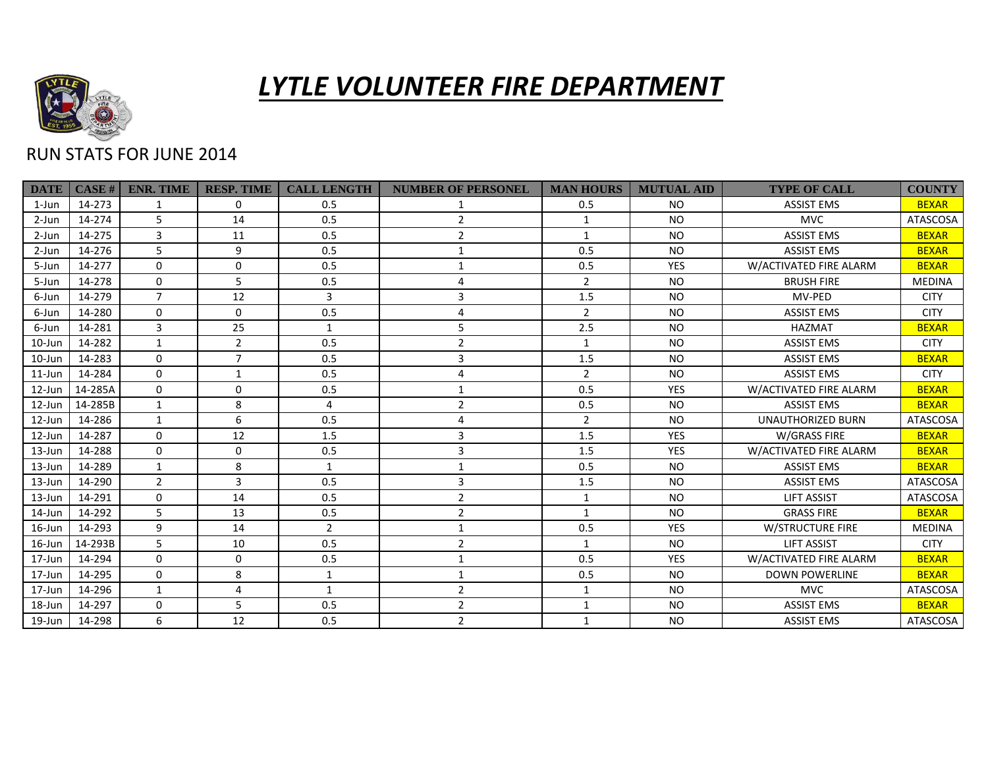

## *LYTLE VOLUNTEER FIRE DEPARTMENT*

## RUN STATS FOR JUNE 2014

| <b>DATE</b> | CASE#   | <b>ENR. TIME</b> | <b>RESP. TIME</b> | <b>CALL LENGTH</b> | <b>NUMBER OF PERSONEL</b> | <b>MAN HOURS</b> | <b>MUTUAL AID</b> | <b>TYPE OF CALL</b>      | <b>COUNTY</b>   |
|-------------|---------|------------------|-------------------|--------------------|---------------------------|------------------|-------------------|--------------------------|-----------------|
| $1$ -Jun    | 14-273  | 1                | 0                 | 0.5                |                           | 0.5              | <b>NO</b>         | <b>ASSIST EMS</b>        | <b>BEXAR</b>    |
| 2-Jun       | 14-274  | 5                | 14                | 0.5                | $\overline{2}$            | $\mathbf{1}$     | NO.               | <b>MVC</b>               | <b>ATASCOSA</b> |
| 2-Jun       | 14-275  | 3                | 11                | 0.5                | $\overline{2}$            | $\mathbf{1}$     | <b>NO</b>         | <b>ASSIST EMS</b>        | <b>BEXAR</b>    |
| 2-Jun       | 14-276  | 5.               | 9                 | 0.5                | 1                         | 0.5              | <b>NO</b>         | <b>ASSIST EMS</b>        | <b>BEXAR</b>    |
| 5-Jun       | 14-277  | $\Omega$         | 0                 | 0.5                | 1                         | 0.5              | <b>YES</b>        | W/ACTIVATED FIRE ALARM   | <b>BEXAR</b>    |
| 5-Jun       | 14-278  | $\Omega$         | 5                 | 0.5                | 4                         | $\overline{2}$   | <b>NO</b>         | <b>BRUSH FIRE</b>        | <b>MEDINA</b>   |
| 6-Jun       | 14-279  | $\overline{7}$   | 12                | 3                  | 3                         | 1.5              | NO.               | MV-PED                   | <b>CITY</b>     |
| 6-Jun       | 14-280  | $\mathbf{0}$     | 0                 | 0.5                | 4                         | $\overline{2}$   | NO.               | <b>ASSIST EMS</b>        | <b>CITY</b>     |
| 6-Jun       | 14-281  | 3                | 25                | $\mathbf{1}$       | 5                         | 2.5              | NO.               | <b>HAZMAT</b>            | <b>BEXAR</b>    |
| 10-Jun      | 14-282  | $\mathbf{1}$     | $\overline{2}$    | 0.5                | $\overline{2}$            | $\mathbf{1}$     | <b>NO</b>         | <b>ASSIST EMS</b>        | <b>CITY</b>     |
| 10-Jun      | 14-283  | $\Omega$         | $\overline{7}$    | 0.5                | 3                         | 1.5              | <b>NO</b>         | <b>ASSIST EMS</b>        | <b>BEXAR</b>    |
| $11$ -Jun   | 14-284  | $\Omega$         | $\mathbf{1}$      | 0.5                | 4                         | $\overline{2}$   | <b>NO</b>         | <b>ASSIST EMS</b>        | <b>CITY</b>     |
| $12$ -Jun   | 14-285A | $\Omega$         | $\mathbf 0$       | 0.5                | 1                         | 0.5              | <b>YES</b>        | W/ACTIVATED FIRE ALARM   | <b>BEXAR</b>    |
| 12-Jun      | 14-285B | $\mathbf{1}$     | 8                 | 4                  | $\overline{2}$            | 0.5              | NO.               | <b>ASSIST EMS</b>        | <b>BEXAR</b>    |
| $12$ -Jun   | 14-286  | $\mathbf{1}$     | 6                 | 0.5                | 4                         | $\overline{2}$   | NO.               | <b>UNAUTHORIZED BURN</b> | <b>ATASCOSA</b> |
| 12-Jun      | 14-287  | $\Omega$         | 12                | 1.5                | 3                         | 1.5              | <b>YES</b>        | W/GRASS FIRE             | <b>BEXAR</b>    |
| 13-Jun      | 14-288  | $\Omega$         | $\mathbf 0$       | 0.5                | 3                         | 1.5              | <b>YES</b>        | W/ACTIVATED FIRE ALARM   | <b>BEXAR</b>    |
| 13-Jun      | 14-289  | $\mathbf{1}$     | 8                 | $\mathbf{1}$       | 1                         | 0.5              | <b>NO</b>         | <b>ASSIST EMS</b>        | <b>BEXAR</b>    |
| $13 - Jun$  | 14-290  | $\overline{2}$   | 3                 | 0.5                | 3                         | 1.5              | <b>NO</b>         | <b>ASSIST EMS</b>        | <b>ATASCOSA</b> |
| $13 - Jun$  | 14-291  | $\Omega$         | 14                | 0.5                | $\overline{2}$            | $\mathbf{1}$     | <b>NO</b>         | <b>LIFT ASSIST</b>       | <b>ATASCOSA</b> |
| 14-Jun      | 14-292  | 5.               | 13                | 0.5                | $\overline{2}$            | $\mathbf{1}$     | NO.               | <b>GRASS FIRE</b>        | <b>BEXAR</b>    |
| $16$ -Jun   | 14-293  | 9                | 14                | $\overline{2}$     | 1                         | 0.5              | <b>YES</b>        | <b>W/STRUCTURE FIRE</b>  | <b>MEDINA</b>   |
| $16$ -Jun   | 14-293B | 5                | 10                | 0.5                | $\overline{2}$            | $\mathbf{1}$     | NO.               | <b>LIFT ASSIST</b>       | <b>CITY</b>     |
| $17 - Jun$  | 14-294  | $\Omega$         | 0                 | 0.5                | 1                         | 0.5              | <b>YES</b>        | W/ACTIVATED FIRE ALARM   | <b>BEXAR</b>    |
| 17-Jun      | 14-295  | $\Omega$         | 8                 | $\mathbf{1}$       | 1                         | 0.5              | <b>NO</b>         | <b>DOWN POWERLINE</b>    | <b>BEXAR</b>    |
| $17 - Jun$  | 14-296  | $\mathbf{1}$     | 4                 | $\mathbf{1}$       | $\overline{2}$            | $\mathbf{1}$     | <b>NO</b>         | <b>MVC</b>               | <b>ATASCOSA</b> |
| 18-Jun      | 14-297  | $\Omega$         | 5                 | 0.5                | $\overline{2}$            | $\mathbf{1}$     | <b>NO</b>         | <b>ASSIST EMS</b>        | <b>BEXAR</b>    |
| 19-Jun      | 14-298  | 6                | 12                | 0.5                | $\overline{2}$            | $\mathbf{1}$     | <b>NO</b>         | <b>ASSIST EMS</b>        | ATASCOSA        |